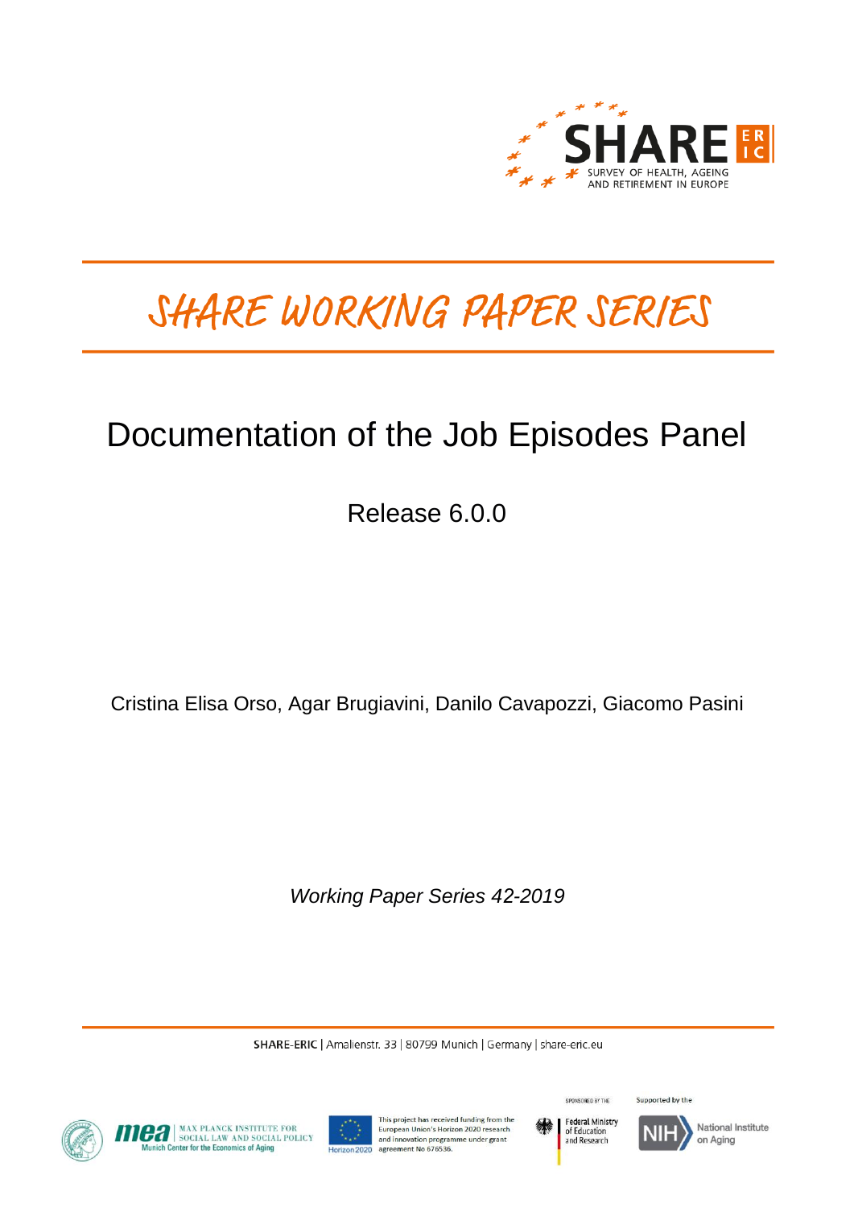

# SHARE WORKING PAPER SERIES

# Documentation of the Job Episodes Panel

Release 6.0.0

Cristina Elisa Orso, Agar Brugiavini, Danilo Cavapozzi, Giacomo Pasini

*Working Paper Series 42-2019* 

SHARE-ERIC | Amalienstr. 33 | 80799 Munich | Germany | share-eric.eu







This project has received funding from the European Union's Horizon 2020 research and innovation programme under grant agreement No 676536.



Supported by the SPONSORED BY THE



National Institute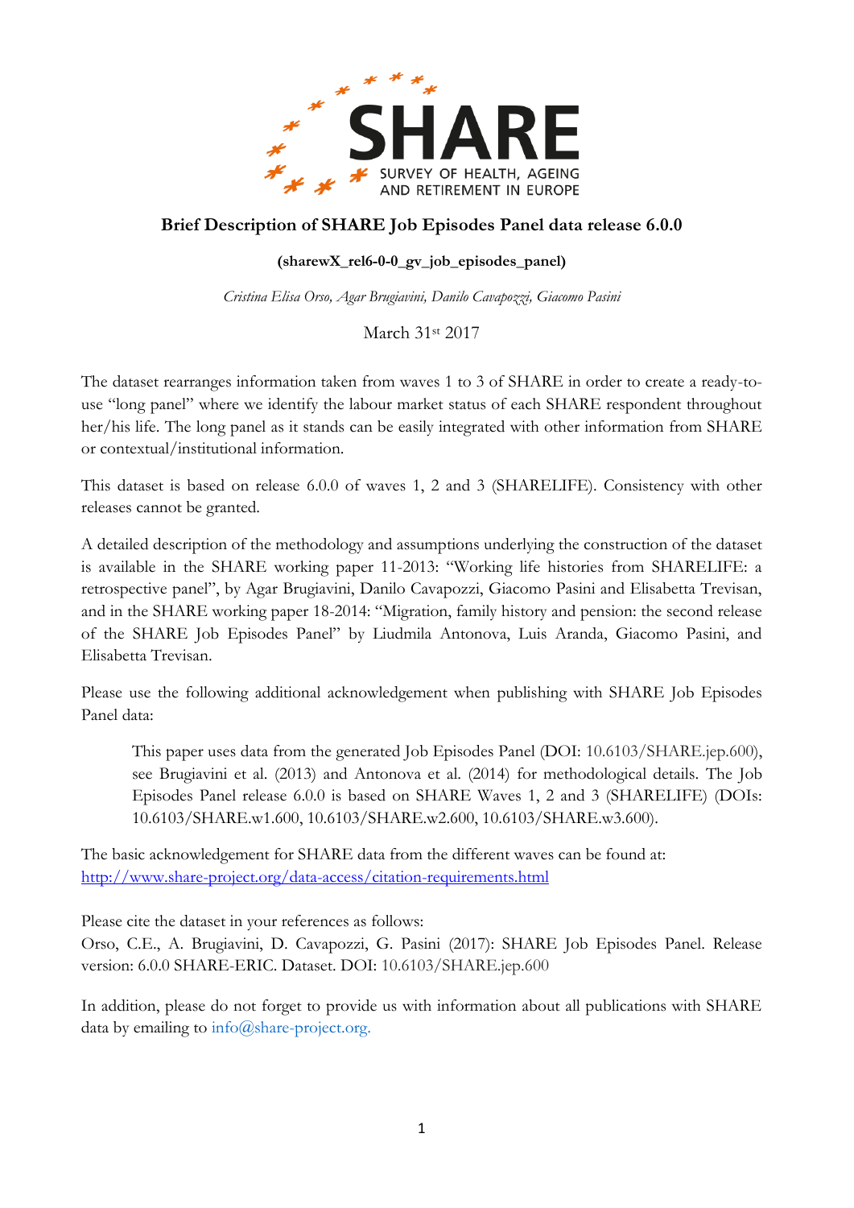

# **Brief Description of SHARE Job Episodes Panel data release 6.0.0**

### **(sharewX\_rel6-0-0\_gv\_job\_episodes\_panel)**

*Cristina Elisa Orso, Agar Brugiavini, Danilo Cavapozzi, Giacomo Pasini*

March 31st 2017

The dataset rearranges information taken from waves 1 to 3 of SHARE in order to create a ready-touse "long panel" where we identify the labour market status of each SHARE respondent throughout her/his life. The long panel as it stands can be easily integrated with other information from SHARE or contextual/institutional information.

This dataset is based on release 6.0.0 of waves 1, 2 and 3 (SHARELIFE). Consistency with other releases cannot be granted.

A detailed description of the methodology and assumptions underlying the construction of the dataset is available in the SHARE working paper 11-2013: "Working life histories from SHARELIFE: a retrospective panel", by Agar Brugiavini, Danilo Cavapozzi, Giacomo Pasini and Elisabetta Trevisan, and in the SHARE working paper 18-2014: "Migration, family history and pension: the second release of the SHARE Job Episodes Panel" by Liudmila Antonova, Luis Aranda, Giacomo Pasini, and Elisabetta Trevisan.

Please use the following additional acknowledgement when publishing with SHARE Job Episodes Panel data:

This paper uses data from the generated Job Episodes Panel (DOI: 10.6103/SHARE.jep.600), see Brugiavini et al. (2013) and Antonova et al. (2014) for methodological details. The Job Episodes Panel release 6.0.0 is based on SHARE Waves 1, 2 and 3 (SHARELIFE) (DOIs: 10.6103/SHARE.w1.600, 10.6103/SHARE.w2.600, 10.6103/SHARE.w3.600).

The basic acknowledgement for SHARE data from the different waves can be found at: <http://www.share-project.org/data-access/citation-requirements.html>

Please cite the dataset in your references as follows:

Orso, C.E., A. Brugiavini, D. Cavapozzi, G. Pasini (2017): SHARE Job Episodes Panel. Release version: 6.0.0 SHARE-ERIC. Dataset. DOI: 10.6103/SHARE.jep.600

In addition, please do not forget to provide us with information about all publications with SHARE data by emailing to  $info@share-project.org$ .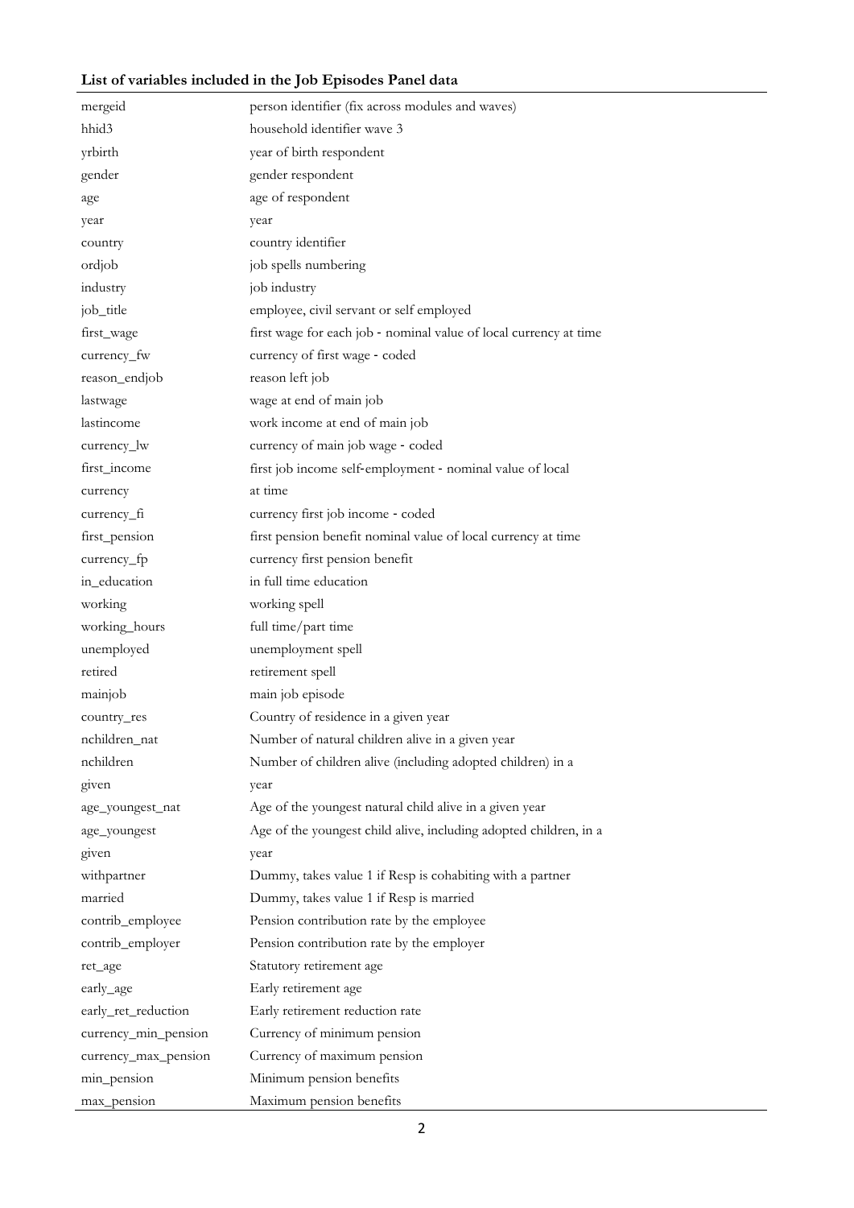## **List of variables included in the Job Episodes Panel data**

| mergeid              | person identifier (fix across modules and waves)                  |  |
|----------------------|-------------------------------------------------------------------|--|
| hhid <sub>3</sub>    | household identifier wave 3                                       |  |
| yrbirth              | year of birth respondent                                          |  |
| gender               | gender respondent                                                 |  |
| age                  | age of respondent                                                 |  |
| year                 | year                                                              |  |
| country              | country identifier                                                |  |
| ordjob               | job spells numbering                                              |  |
| industry             | job industry                                                      |  |
| job_title            | employee, civil servant or self employed                          |  |
| first_wage           | first wage for each job - nominal value of local currency at time |  |
| currency_fw          | currency of first wage - coded                                    |  |
| reason_endjob        | reason left job                                                   |  |
| lastwage             | wage at end of main job                                           |  |
| lastincome           | work income at end of main job                                    |  |
| currency_lw          | currency of main job wage - coded                                 |  |
| first_income         | first job income self-employment - nominal value of local         |  |
| currency             | at time                                                           |  |
| currency_fi          | currency first job income - coded                                 |  |
| first_pension        | first pension benefit nominal value of local currency at time     |  |
| currency_fp          | currency first pension benefit                                    |  |
| in_education         | in full time education                                            |  |
| working              | working spell                                                     |  |
| working_hours        | full time/part time                                               |  |
| unemployed           | unemployment spell                                                |  |
| retired              | retirement spell                                                  |  |
| mainjob              | main job episode                                                  |  |
| country_res          | Country of residence in a given year                              |  |
| nchildren_nat        | Number of natural children alive in a given year                  |  |
| nchildren            | Number of children alive (including adopted children) in a        |  |
| given                | year                                                              |  |
| age_youngest_nat     | Age of the youngest natural child alive in a given year           |  |
| age_youngest         | Age of the youngest child alive, including adopted children, in a |  |
| given                | year                                                              |  |
| withpartner          | Dummy, takes value 1 if Resp is cohabiting with a partner         |  |
| married              | Dummy, takes value 1 if Resp is married                           |  |
| contrib_employee     | Pension contribution rate by the employee                         |  |
| contrib_employer     | Pension contribution rate by the employer                         |  |
| ret_age              | Statutory retirement age                                          |  |
| early_age            | Early retirement age                                              |  |
| early_ret_reduction  | Early retirement reduction rate                                   |  |
| currency_min_pension | Currency of minimum pension                                       |  |
| currency_max_pension | Currency of maximum pension                                       |  |
| min_pension          | Minimum pension benefits                                          |  |
| max_pension          | Maximum pension benefits                                          |  |